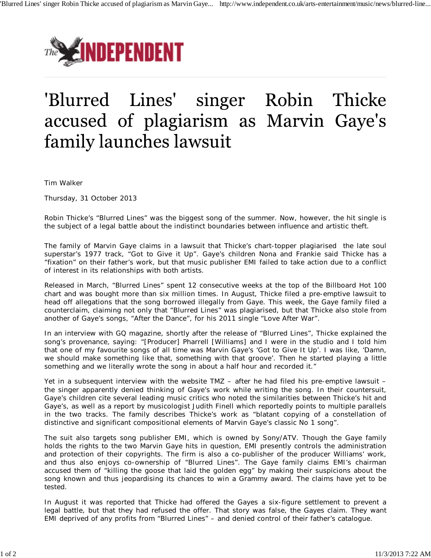

# 'Blurred Lines' singer Robin Thicke accused of plagiarism as Marvin Gaye's family launches lawsuit

Tim Walker

Thursday, 31 October 2013

Robin Thicke's "Blurred Lines" was the biggest song of the summer. Now, however, the hit single is the subject of a legal battle about the indistinct boundaries between influence and artistic theft.

The family of Marvin Gaye claims in a lawsuit that Thicke's chart-topper plagiarised the late soul superstar's 1977 track, "Got to Give it Up". Gaye's children Nona and Frankie said Thicke has a "fixation" on their father's work, but that music publisher EMI failed to take action due to a conflict of interest in its relationships with both artists.

Released in March, "Blurred Lines" spent 12 consecutive weeks at the top of the Billboard Hot 100 chart and was bought more than six million times. In August, Thicke filed a pre-emptive lawsuit to head off allegations that the song borrowed illegally from Gaye. This week, the Gaye family filed a counterclaim, claiming not only that "Blurred Lines" was plagiarised, but that Thicke also stole from another of Gaye's songs, "After the Dance", for his 2011 single "Love After War".

In an interview with GQ magazine, shortly after the release of "Blurred Lines", Thicke explained the song's provenance, saying: "[Producer] Pharrell [Williams] and I were in the studio and I told him that one of my favourite songs of all time was Marvin Gaye's 'Got to Give It Up'. I was like, 'Damn, we should make something like that, something with that groove'. Then he started playing a little something and we literally wrote the song in about a half hour and recorded it."

Yet in a subsequent interview with the website TMZ – after he had filed his pre-emptive lawsuit – the singer apparently denied thinking of Gaye's work while writing the song. In their countersuit, Gaye's children cite several leading music critics who noted the similarities between Thicke's hit and Gaye's, as well as a report by musicologist Judith Finell which reportedly points to multiple parallels in the two tracks. The family describes Thicke's work as "blatant copying of a constellation of distinctive and significant compositional elements of Marvin Gaye's classic No 1 song".

The suit also targets song publisher EMI, which is owned by Sony/ATV. Though the Gaye family holds the rights to the two Marvin Gaye hits in question, EMI presently controls the administration and protection of their copyrights. The firm is also a co-publisher of the producer Williams' work, and thus also enjoys co-ownership of "Blurred Lines". The Gaye family claims EMI's chairman accused them of "killing the goose that laid the golden egg" by making their suspicions about the song known and thus jeopardising its chances to win a Grammy award. The claims have yet to be tested.

In August it was reported that Thicke had offered the Gayes a six-figure settlement to prevent a legal battle, but that they had refused the offer. That story was false, the Gayes claim. They want EMI deprived of any profits from "Blurred Lines" – and denied control of their father's catalogue.